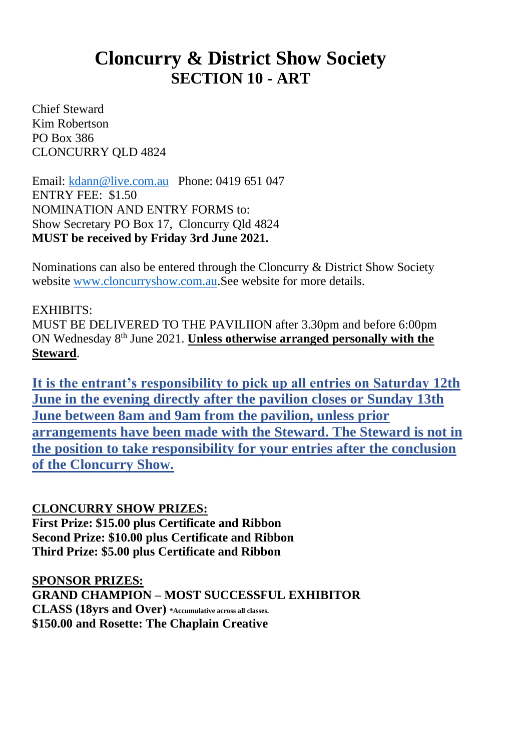# **Cloncurry & District Show Society SECTION 10 - ART**

Chief Steward Kim Robertson PO Box 386 CLONCURRY QLD 4824

Email: [kdann@live.com.au](mailto:kdann@live.com.au) Phone: 0419 651 047 ENTRY FEE: \$1.50 NOMINATION AND ENTRY FORMS to: Show Secretary PO Box 17, Cloncurry Qld 4824 **MUST be received by Friday 3rd June 2021.**

Nominations can also be entered through the Cloncurry & District Show Society website [www.cloncurryshow.com.au.](http://www.cloncurryshow.com.au/)See website for more details.

### EXHIBITS:

MUST BE DELIVERED TO THE PAVILIION after 3.30pm and before 6:00pm ON Wednesday 8<sup>th</sup> June 2021. **Unless otherwise arranged personally with the Steward**.

**It is the entrant's responsibility to pick up all entries on Saturday 12th June in the evening directly after the pavilion closes or Sunday 13th June between 8am and 9am from the pavilion, unless prior arrangements have been made with the Steward. The Steward is not in the position to take responsibility for your entries after the conclusion of the Cloncurry Show.**

#### **CLONCURRY SHOW PRIZES:**

**First Prize: \$15.00 plus Certificate and Ribbon Second Prize: \$10.00 plus Certificate and Ribbon Third Prize: \$5.00 plus Certificate and Ribbon**

**SPONSOR PRIZES: GRAND CHAMPION – MOST SUCCESSFUL EXHIBITOR CLASS (18yrs and Over) \*Accumulative across all classes. \$150.00 and Rosette: The Chaplain Creative**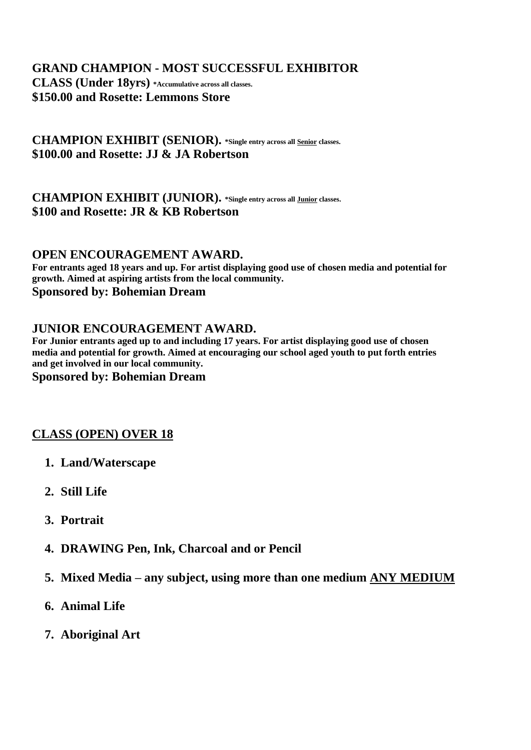## **GRAND CHAMPION - MOST SUCCESSFUL EXHIBITOR**

**CLASS (Under 18yrs) \*Accumulative across all classes. \$150.00 and Rosette: Lemmons Store**

**CHAMPION EXHIBIT (SENIOR). \*Single entry across all Senior classes. \$100.00 and Rosette: JJ & JA Robertson**

#### **CHAMPION EXHIBIT (JUNIOR). \*Single entry across all Junior classes. \$100 and Rosette: JR & KB Robertson**

#### **OPEN ENCOURAGEMENT AWARD.**

**For entrants aged 18 years and up. For artist displaying good use of chosen media and potential for growth. Aimed at aspiring artists from the local community. Sponsored by: Bohemian Dream**

#### **JUNIOR ENCOURAGEMENT AWARD.**

**For Junior entrants aged up to and including 17 years. For artist displaying good use of chosen media and potential for growth. Aimed at encouraging our school aged youth to put forth entries and get involved in our local community.** 

#### **Sponsored by: Bohemian Dream**

## **CLASS (OPEN) OVER 18**

- **1. Land/Waterscape**
- **2. Still Life**
- **3. Portrait**
- **4. DRAWING Pen, Ink, Charcoal and or Pencil**
- **5. Mixed Media – any subject, using more than one medium ANY MEDIUM**
- **6. Animal Life**
- **7. Aboriginal Art**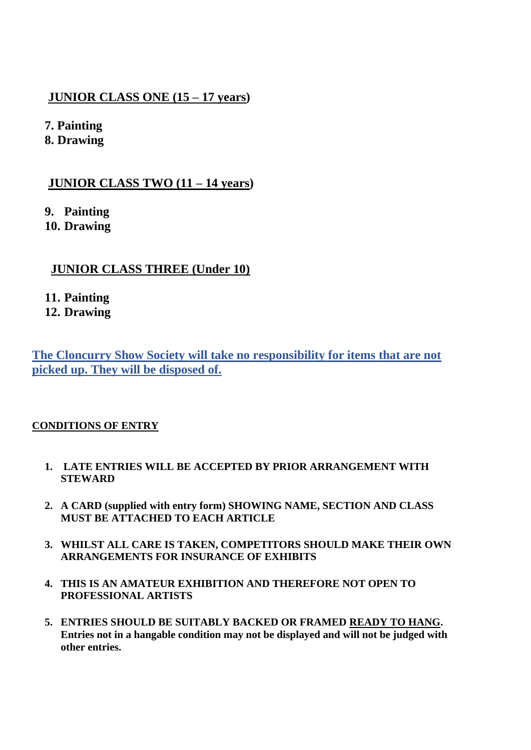## **JUNIOR CLASS ONE (15 – 17 years)**

**7. Painting**

**8. Drawing**

## **JUNIOR CLASS TWO (11 – 14 years)**

**9. Painting**

**10. Drawing**

## **JUNIOR CLASS THREE (Under 10)**

## **11. Painting**

**12. Drawing**

**The Cloncurry Show Society will take no responsibility for items that are not picked up. They will be disposed of.**

## **CONDITIONS OF ENTRY**

- **1. LATE ENTRIES WILL BE ACCEPTED BY PRIOR ARRANGEMENT WITH STEWARD**
- **2. A CARD (supplied with entry form) SHOWING NAME, SECTION AND CLASS MUST BE ATTACHED TO EACH ARTICLE**
- **3. WHILST ALL CARE IS TAKEN, COMPETITORS SHOULD MAKE THEIR OWN ARRANGEMENTS FOR INSURANCE OF EXHIBITS**
- **4. THIS IS AN AMATEUR EXHIBITION AND THEREFORE NOT OPEN TO PROFESSIONAL ARTISTS**
- **5. ENTRIES SHOULD BE SUITABLY BACKED OR FRAMED READY TO HANG. Entries not in a hangable condition may not be displayed and will not be judged with other entries.**